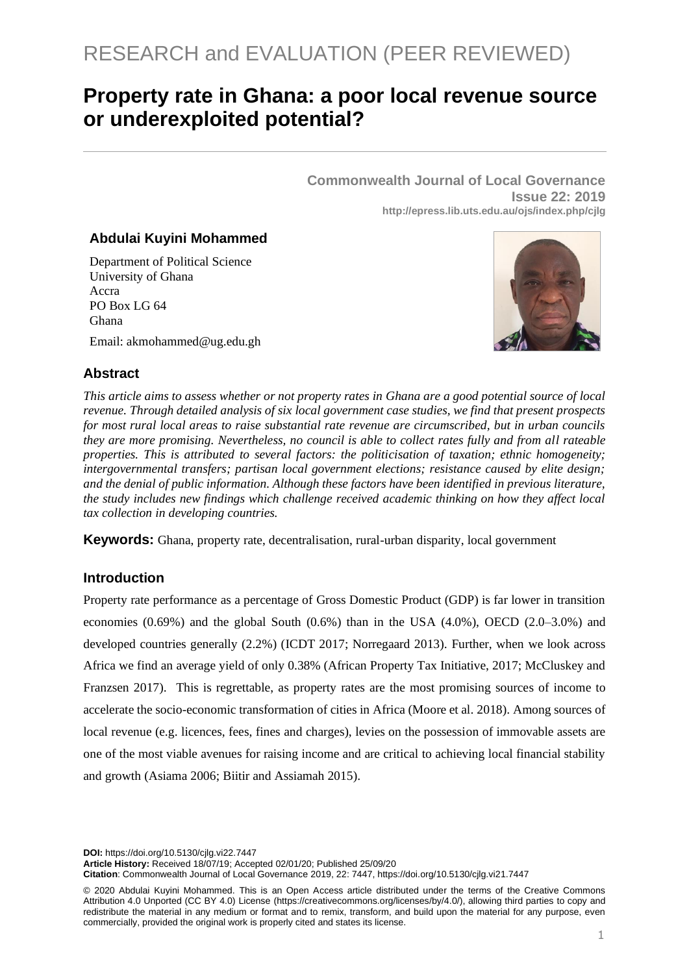# **Property rate in Ghana: a poor local revenue source or underexploited potential?**

**Commonwealth Journal of Local Governance Issue 22: 2019 http://epress.lib.uts.edu.au/ojs/index.php/cjlg**

## **Abdulai Kuyini Mohammed**

Department of Political Science University of Ghana Accra PO Box LG 64 Ghana

Email: akmohammed@ug.edu.gh



# **Abstract**

*This article aims to assess whether or not property rates in Ghana are a good potential source of local revenue. Through detailed analysis of six local government case studies, we find that present prospects for most rural local areas to raise substantial rate revenue are circumscribed, but in urban councils they are more promising. Nevertheless, no council is able to collect rates fully and from all rateable properties. This is attributed to several factors: the politicisation of taxation; ethnic homogeneity; intergovernmental transfers; partisan local government elections; resistance caused by elite design; and the denial of public information. Although these factors have been identified in previous literature, the study includes new findings which challenge received academic thinking on how they affect local tax collection in developing countries.*

**Keywords:** Ghana, property rate, decentralisation, rural-urban disparity, local government

# **Introduction**

Property rate performance as a percentage of Gross Domestic Product (GDP) is far lower in transition economies  $(0.69%)$  and the global South  $(0.6%)$  than in the USA  $(4.0%)$ , OECD  $(2.0-3.0%)$  and developed countries generally (2.2%) (ICDT 2017; Norregaard 2013). Further, when we look across Africa we find an average yield of only 0.38% (African Property Tax Initiative, 2017; McCluskey and Franzsen 2017). This is regrettable, as property rates are the most promising sources of income to accelerate the socio-economic transformation of cities in Africa (Moore et al. 2018). Among sources of local revenue (e.g. licences, fees, fines and charges), levies on the possession of immovable assets are one of the most viable avenues for raising income and are critical to achieving local financial stability and growth (Asiama 2006; Biitir and Assiamah 2015).

**DOI:** https://doi.org/10.5130/cjlg.vi22.7447

**Article History:** Received 18/07/19; Accepted 02/01/20; Published 25/09/20

**Citation**: Commonwealth Journal of Local Governance 2019, 22: 7447, https://doi.org/10.5130/cjlg.vi21.7447

© 2020 Abdulai Kuyini Mohammed. This is an Open Access article distributed under the terms of the Creative Commons Attribution 4.0 Unported (CC BY 4.0) License [\(https://creativecommons.org/licenses/by/4.0/\)](https://creativecommons.org/licenses/by/4.0/), allowing third parties to copy and redistribute the material in any medium or format and to remix, transform, and build upon the material for any purpose, even commercially, provided the original work is properly cited and states its license.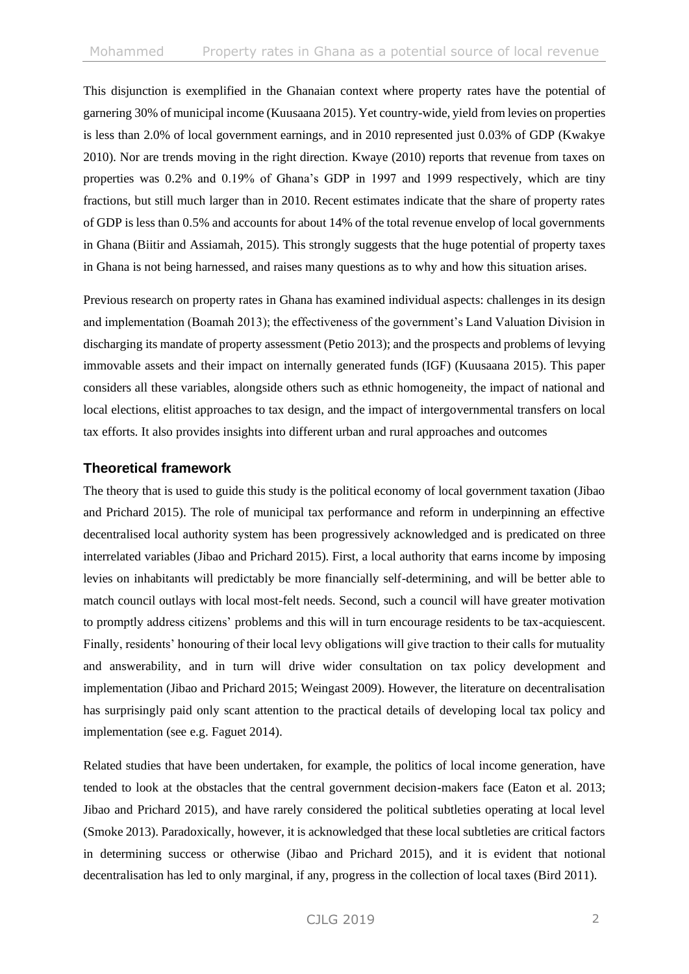This disjunction is exemplified in the Ghanaian context where property rates have the potential of garnering 30% of municipal income (Kuusaana 2015). Yet country-wide, yield from levies on properties is less than 2.0% of local government earnings, and in 2010 represented just 0.03% of GDP (Kwakye 2010). Nor are trends moving in the right direction. Kwaye (2010) reports that revenue from taxes on properties was 0.2% and 0.19% of Ghana's GDP in 1997 and 1999 respectively, which are tiny fractions, but still much larger than in 2010. Recent estimates indicate that the share of property rates of GDP is less than 0.5% and accounts for about 14% of the total revenue envelop of local governments in Ghana (Biitir and Assiamah, 2015). This strongly suggests that the huge potential of property taxes in Ghana is not being harnessed, and raises many questions as to why and how this situation arises.

Previous research on property rates in Ghana has examined individual aspects: challenges in its design and implementation (Boamah 2013); the effectiveness of the government's Land Valuation Division in discharging its mandate of property assessment (Petio 2013); and the prospects and problems of levying immovable assets and their impact on internally generated funds (IGF) (Kuusaana 2015). This paper considers all these variables, alongside others such as ethnic homogeneity, the impact of national and local elections, elitist approaches to tax design, and the impact of intergovernmental transfers on local tax efforts. It also provides insights into different urban and rural approaches and outcomes

## **Theoretical framework**

The theory that is used to guide this study is the political economy of local government taxation (Jibao and Prichard 2015). The role of municipal tax performance and reform in underpinning an effective decentralised local authority system has been progressively acknowledged and is predicated on three interrelated variables (Jibao and Prichard 2015). First, a local authority that earns income by imposing levies on inhabitants will predictably be more financially self-determining, and will be better able to match council outlays with local most-felt needs. Second, such a council will have greater motivation to promptly address citizens' problems and this will in turn encourage residents to be tax-acquiescent. Finally, residents' honouring of their local levy obligations will give traction to their calls for mutuality and answerability, and in turn will drive wider consultation on tax policy development and implementation (Jibao and Prichard 2015; Weingast 2009). However, the literature on decentralisation has surprisingly paid only scant attention to the practical details of developing local tax policy and implementation (see e.g. Faguet 2014).

Related studies that have been undertaken, for example, the politics of local income generation, have tended to look at the obstacles that the central government decision-makers face (Eaton et al. 2013; Jibao and Prichard 2015), and have rarely considered the political subtleties operating at local level (Smoke 2013). Paradoxically, however, it is acknowledged that these local subtleties are critical factors in determining success or otherwise (Jibao and Prichard 2015), and it is evident that notional decentralisation has led to only marginal, if any, progress in the collection of local taxes (Bird 2011).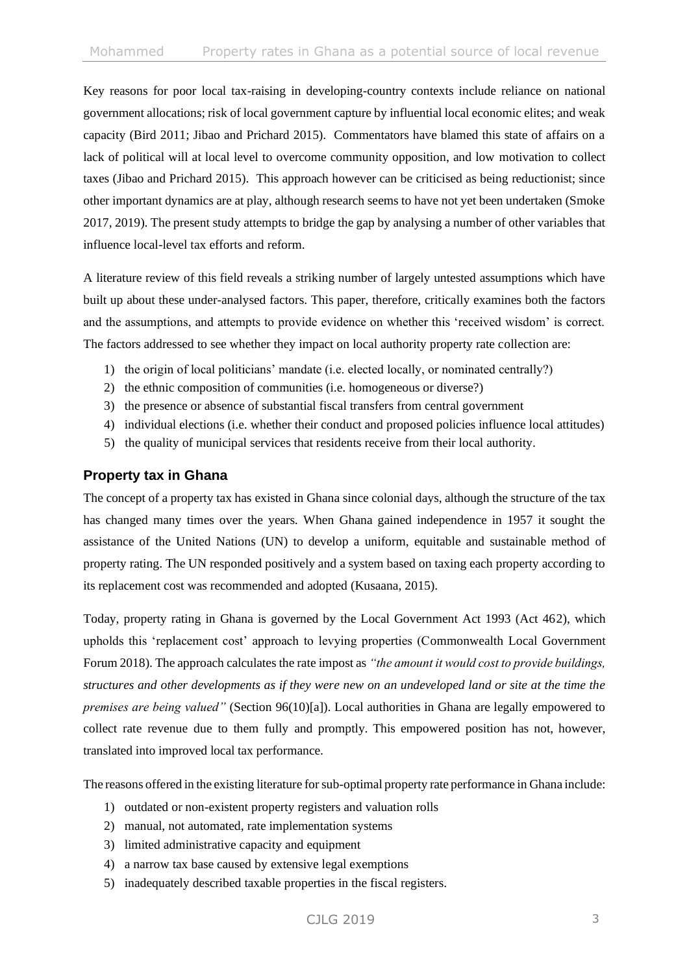Key reasons for poor local tax-raising in developing-country contexts include reliance on national government allocations; risk of local government capture by influential local economic elites; and weak capacity (Bird 2011; Jibao and Prichard 2015). Commentators have blamed this state of affairs on a lack of political will at local level to overcome community opposition, and low motivation to collect taxes (Jibao and Prichard 2015). This approach however can be criticised as being reductionist; since other important dynamics are at play, although research seems to have not yet been undertaken (Smoke 2017, 2019). The present study attempts to bridge the gap by analysing a number of other variables that influence local-level tax efforts and reform.

A literature review of this field reveals a striking number of largely untested assumptions which have built up about these under-analysed factors. This paper, therefore, critically examines both the factors and the assumptions, and attempts to provide evidence on whether this 'received wisdom' is correct. The factors addressed to see whether they impact on local authority property rate collection are:

- 1) the origin of local politicians' mandate (i.e. elected locally, or nominated centrally?)
- 2) the ethnic composition of communities (i.e. homogeneous or diverse?)
- 3) the presence or absence of substantial fiscal transfers from central government
- 4) individual elections (i.e. whether their conduct and proposed policies influence local attitudes)
- 5) the quality of municipal services that residents receive from their local authority.

# **Property tax in Ghana**

The concept of a property tax has existed in Ghana since colonial days, although the structure of the tax has changed many times over the years. When Ghana gained independence in 1957 it sought the assistance of the United Nations (UN) to develop a uniform, equitable and sustainable method of property rating. The UN responded positively and a system based on taxing each property according to its replacement cost was recommended and adopted (Kusaana, 2015).

Today, property rating in Ghana is governed by the Local Government Act 1993 (Act 462), which upholds this 'replacement cost' approach to levying properties (Commonwealth Local Government Forum 2018). The approach calculates the rate impost as *"the amount it would cost to provide buildings, structures and other developments as if they were new on an undeveloped land or site at the time the premises are being valued"* (Section 96(10)[a]). Local authorities in Ghana are legally empowered to collect rate revenue due to them fully and promptly. This empowered position has not, however, translated into improved local tax performance.

The reasons offered in the existing literature for sub-optimal property rate performance in Ghana include:

- 1) outdated or non-existent property registers and valuation rolls
- 2) manual, not automated, rate implementation systems
- 3) limited administrative capacity and equipment
- 4) a narrow tax base caused by extensive legal exemptions
- 5) inadequately described taxable properties in the fiscal registers.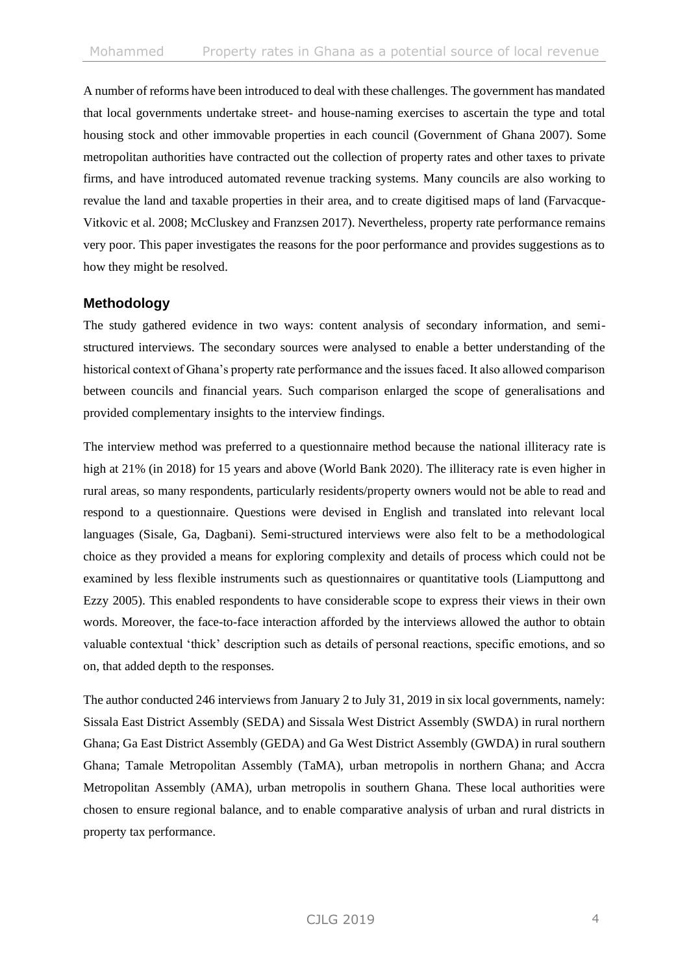A number of reforms have been introduced to deal with these challenges. The government has mandated that local governments undertake street- and house-naming exercises to ascertain the type and total housing stock and other immovable properties in each council (Government of Ghana 2007). Some metropolitan authorities have contracted out the collection of property rates and other taxes to private firms, and have introduced automated revenue tracking systems. Many councils are also working to revalue the land and taxable properties in their area, and to create digitised maps of land (Farvacque-Vitkovic et al. 2008; McCluskey and Franzsen 2017). Nevertheless, property rate performance remains very poor. This paper investigates the reasons for the poor performance and provides suggestions as to how they might be resolved.

# **Methodology**

The study gathered evidence in two ways: content analysis of secondary information, and semistructured interviews. The secondary sources were analysed to enable a better understanding of the historical context of Ghana's property rate performance and the issues faced. It also allowed comparison between councils and financial years. Such comparison enlarged the scope of generalisations and provided complementary insights to the interview findings.

The interview method was preferred to a questionnaire method because the national illiteracy rate is high at 21% (in 2018) for 15 years and above (World Bank 2020). The illiteracy rate is even higher in rural areas, so many respondents, particularly residents/property owners would not be able to read and respond to a questionnaire. Questions were devised in English and translated into relevant local languages (Sisale, Ga, Dagbani). Semi-structured interviews were also felt to be a methodological choice as they provided a means for exploring complexity and details of process which could not be examined by less flexible instruments such as questionnaires or quantitative tools (Liamputtong and Ezzy 2005). This enabled respondents to have considerable scope to express their views in their own words. Moreover, the face-to-face interaction afforded by the interviews allowed the author to obtain valuable contextual 'thick' description such as details of personal reactions, specific emotions, and so on, that added depth to the responses.

The author conducted 246 interviews from January 2 to July 31, 2019 in six local governments, namely: Sissala East District Assembly (SEDA) and Sissala West District Assembly (SWDA) in rural northern Ghana; Ga East District Assembly (GEDA) and Ga West District Assembly (GWDA) in rural southern Ghana; Tamale Metropolitan Assembly (TaMA), urban metropolis in northern Ghana; and Accra Metropolitan Assembly (AMA), urban metropolis in southern Ghana. These local authorities were chosen to ensure regional balance, and to enable comparative analysis of urban and rural districts in property tax performance.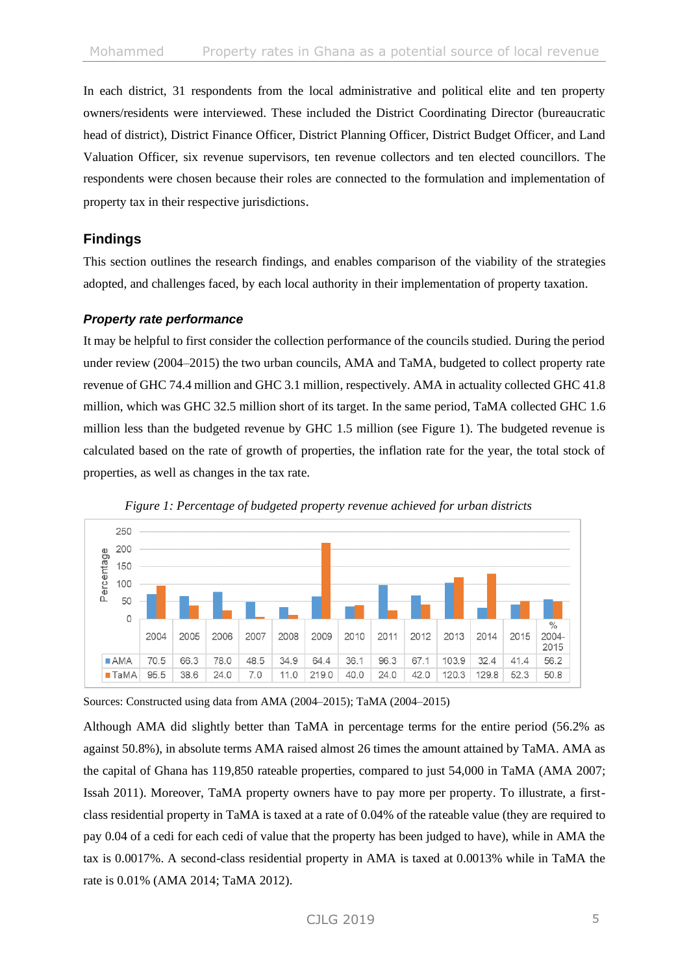In each district, 31 respondents from the local administrative and political elite and ten property owners/residents were interviewed. These included the District Coordinating Director (bureaucratic head of district), District Finance Officer, District Planning Officer, District Budget Officer, and Land Valuation Officer, six revenue supervisors, ten revenue collectors and ten elected councillors. The respondents were chosen because their roles are connected to the formulation and implementation of property tax in their respective jurisdictions.

## **Findings**

This section outlines the research findings, and enables comparison of the viability of the strategies adopted, and challenges faced, by each local authority in their implementation of property taxation.

#### *Property rate performance*

It may be helpful to first consider the collection performance of the councils studied. During the period under review (2004–2015) the two urban councils, AMA and TaMA, budgeted to collect property rate revenue of GHC 74.4 million and GHC 3.1 million, respectively. AMA in actuality collected GHC 41.8 million, which was GHC 32.5 million short of its target. In the same period, TaMA collected GHC 1.6 million less than the budgeted revenue by GHC 1.5 million (see Figure 1). The budgeted revenue is calculated based on the rate of growth of properties, the inflation rate for the year, the total stock of properties, as well as changes in the tax rate.





Sources: Constructed using data from AMA (2004–2015); TaMA (2004–2015)

Although AMA did slightly better than TaMA in percentage terms for the entire period (56.2% as against 50.8%), in absolute terms AMA raised almost 26 times the amount attained by TaMA. AMA as the capital of Ghana has 119,850 rateable properties, compared to just 54,000 in TaMA (AMA 2007; Issah 2011). Moreover, TaMA property owners have to pay more per property. To illustrate, a firstclass residential property in TaMA is taxed at a rate of 0.04% of the rateable value (they are required to pay 0.04 of a cedi for each cedi of value that the property has been judged to have), while in AMA the tax is 0.0017%. A second-class residential property in AMA is taxed at 0.0013% while in TaMA the rate is 0.01% (AMA 2014; TaMA 2012).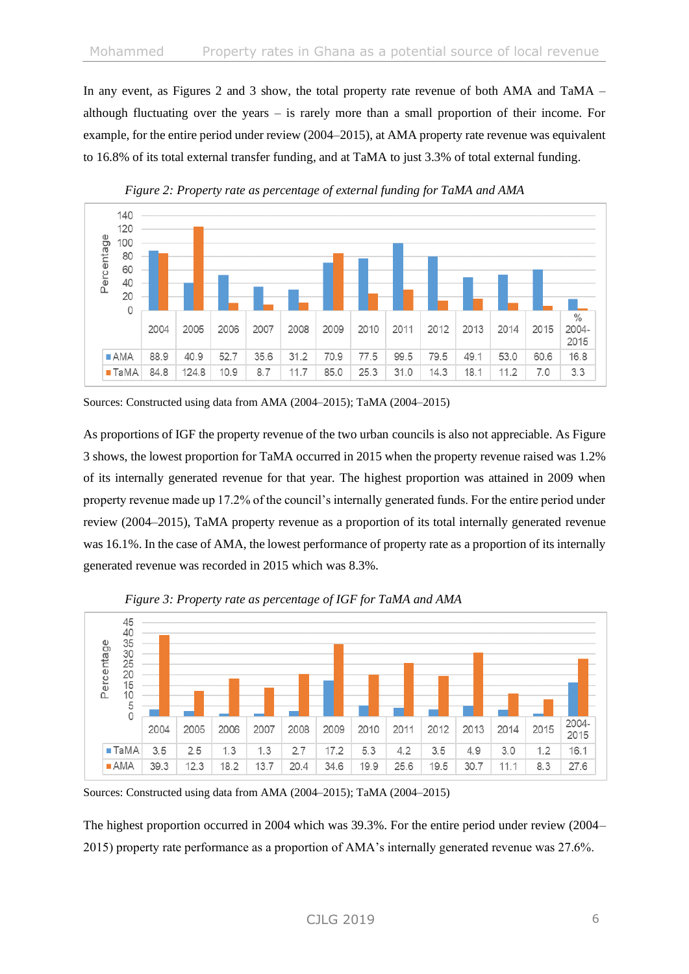In any event, as Figures 2 and 3 show, the total property rate revenue of both AMA and TaMA – although fluctuating over the years – is rarely more than a small proportion of their income. For example, for the entire period under review (2004–2015), at AMA property rate revenue was equivalent to 16.8% of its total external transfer funding, and at TaMA to just 3.3% of total external funding.





As proportions of IGF the property revenue of the two urban councils is also not appreciable. As Figure 3 shows, the lowest proportion for TaMA occurred in 2015 when the property revenue raised was 1.2% of its internally generated revenue for that year. The highest proportion was attained in 2009 when property revenue made up 17.2% of the council's internally generated funds. For the entire period under review (2004–2015), TaMA property revenue as a proportion of its total internally generated revenue was 16.1%. In the case of AMA, the lowest performance of property rate as a proportion of its internally generated revenue was recorded in 2015 which was 8.3%.



*Figure 3: Property rate as percentage of IGF for TaMA and AMA*

The highest proportion occurred in 2004 which was 39.3%. For the entire period under review (2004– 2015) property rate performance as a proportion of AMA's internally generated revenue was 27.6%.

Sources: Constructed using data from AMA (2004–2015); TaMA (2004–2015)

Sources: Constructed using data from AMA (2004–2015); TaMA (2004–2015)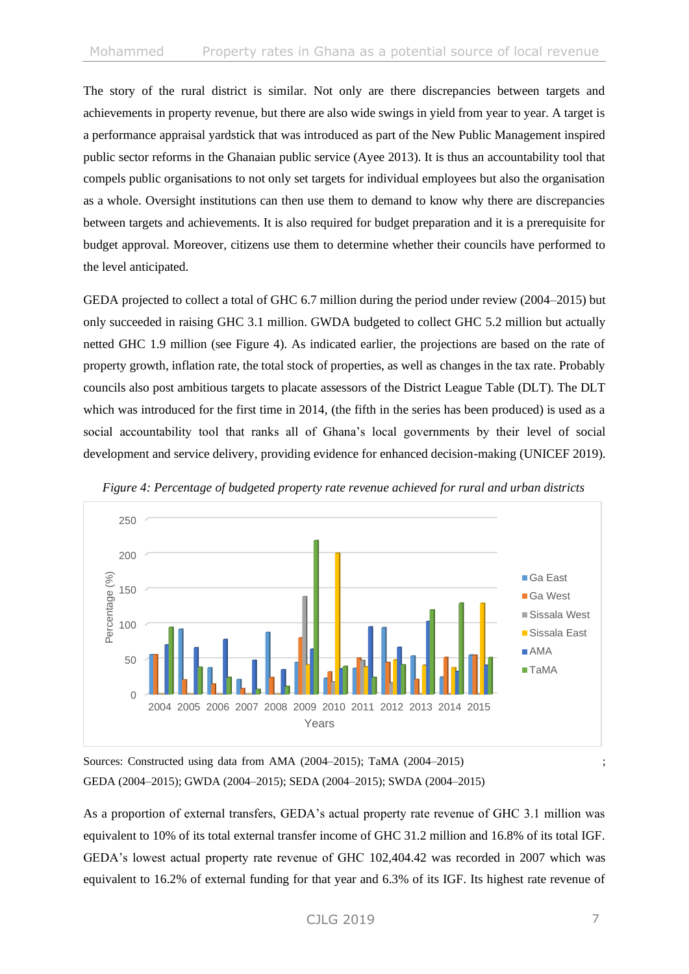The story of the rural district is similar. Not only are there discrepancies between targets and achievements in property revenue, but there are also wide swings in yield from year to year. A target is a performance appraisal yardstick that was introduced as part of the New Public Management inspired public sector reforms in the Ghanaian public service (Ayee 2013). It is thus an accountability tool that compels public organisations to not only set targets for individual employees but also the organisation as a whole. Oversight institutions can then use them to demand to know why there are discrepancies between targets and achievements. It is also required for budget preparation and it is a prerequisite for budget approval. Moreover, citizens use them to determine whether their councils have performed to the level anticipated.

GEDA projected to collect a total of GHC 6.7 million during the period under review (2004–2015) but only succeeded in raising GHC 3.1 million. GWDA budgeted to collect GHC 5.2 million but actually netted GHC 1.9 million (see Figure 4). As indicated earlier, the projections are based on the rate of property growth, inflation rate, the total stock of properties, as well as changes in the tax rate. Probably councils also post ambitious targets to placate assessors of the District League Table (DLT). The DLT which was introduced for the first time in 2014, (the fifth in the series has been produced) is used as a social accountability tool that ranks all of Ghana's local governments by their level of social development and service delivery, providing evidence for enhanced decision-making (UNICEF 2019).





Sources: Constructed using data from AMA (2004–2015); TaMA (2004–2015) ;  $\frac{1}{2}$ GEDA (2004–2015); GWDA (2004–2015); SEDA (2004–2015); SWDA (2004–2015)

As a proportion of external transfers, GEDA's actual property rate revenue of GHC 3.1 million was equivalent to 10% of its total external transfer income of GHC 31.2 million and 16.8% of its total IGF. GEDA's lowest actual property rate revenue of GHC 102,404.42 was recorded in 2007 which was equivalent to 16.2% of external funding for that year and 6.3% of its IGF. Its highest rate revenue of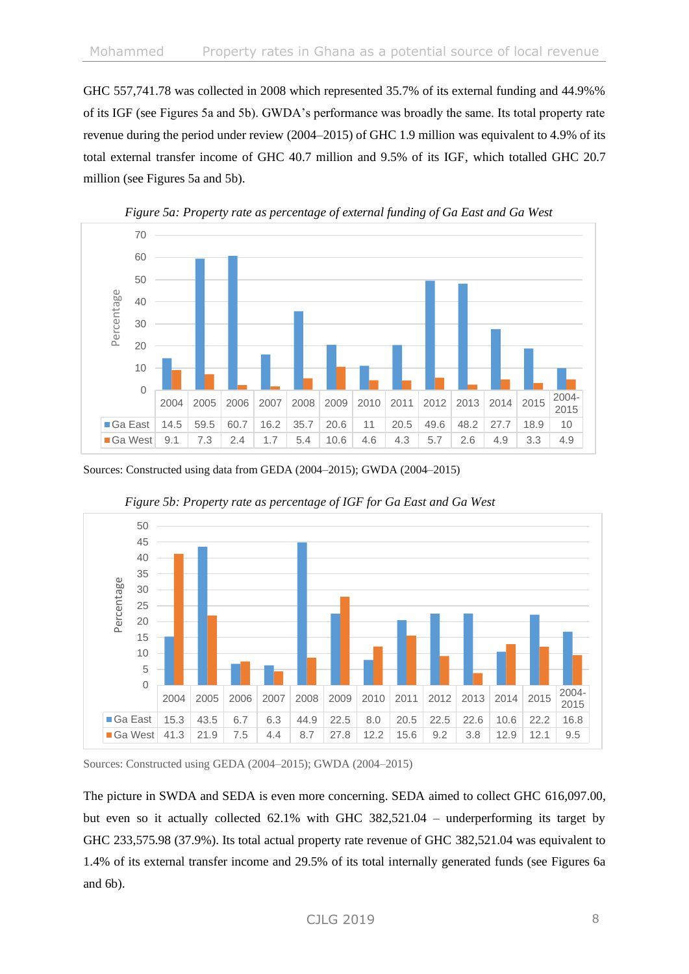GHC 557,741.78 was collected in 2008 which represented 35.7% of its external funding and 44.9%% of its IGF (see Figures 5a and 5b). GWDA's performance was broadly the same. Its total property rate revenue during the period under review (2004–2015) of GHC 1.9 million was equivalent to 4.9% of its total external transfer income of GHC 40.7 million and 9.5% of its IGF, which totalled GHC 20.7 million (see Figures 5a and 5b).



*Figure 5a: Property rate as percentage of external funding of Ga East and Ga West*

Sources: Constructed using data from GEDA (2004–2015); GWDA (2004–2015)



*Figure 5b: Property rate as percentage of IGF for Ga East and Ga West* 

Sources: Constructed using GEDA (2004–2015); GWDA (2004–2015)

The picture in SWDA and SEDA is even more concerning. SEDA aimed to collect GHC 616,097.00, but even so it actually collected 62.1% with GHC 382,521.04 – underperforming its target by GHC 233,575.98 (37.9%). Its total actual property rate revenue of GHC 382,521.04 was equivalent to 1.4% of its external transfer income and 29.5% of its total internally generated funds (see Figures 6a and 6b).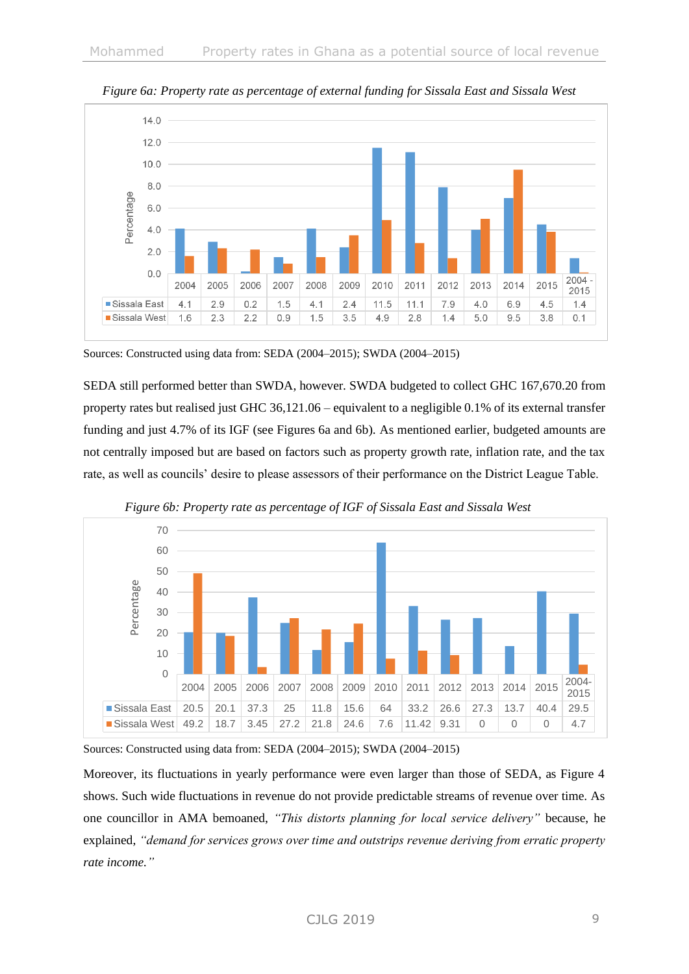

 *Figure 6a: Property rate as percentage of external funding for Sissala East and Sissala West*

Sources: Constructed using data from: SEDA (2004–2015); SWDA (2004–2015)

SEDA still performed better than SWDA, however. SWDA budgeted to collect GHC 167,670.20 from property rates but realised just GHC 36,121.06 – equivalent to a negligible 0.1% of its external transfer funding and just 4.7% of its IGF (see Figures 6a and 6b). As mentioned earlier, budgeted amounts are not centrally imposed but are based on factors such as property growth rate, inflation rate, and the tax rate, as well as councils' desire to please assessors of their performance on the District League Table.



*Figure 6b: Property rate as percentage of IGF of Sissala East and Sissala West*

Sources: Constructed using data from: SEDA (2004–2015); SWDA (2004–2015)

Moreover, its fluctuations in yearly performance were even larger than those of SEDA, as Figure 4 shows. Such wide fluctuations in revenue do not provide predictable streams of revenue over time. As one councillor in AMA bemoaned, *"This distorts planning for local service delivery"* because, he explained, *"demand for services grows over time and outstrips revenue deriving from erratic property rate income."*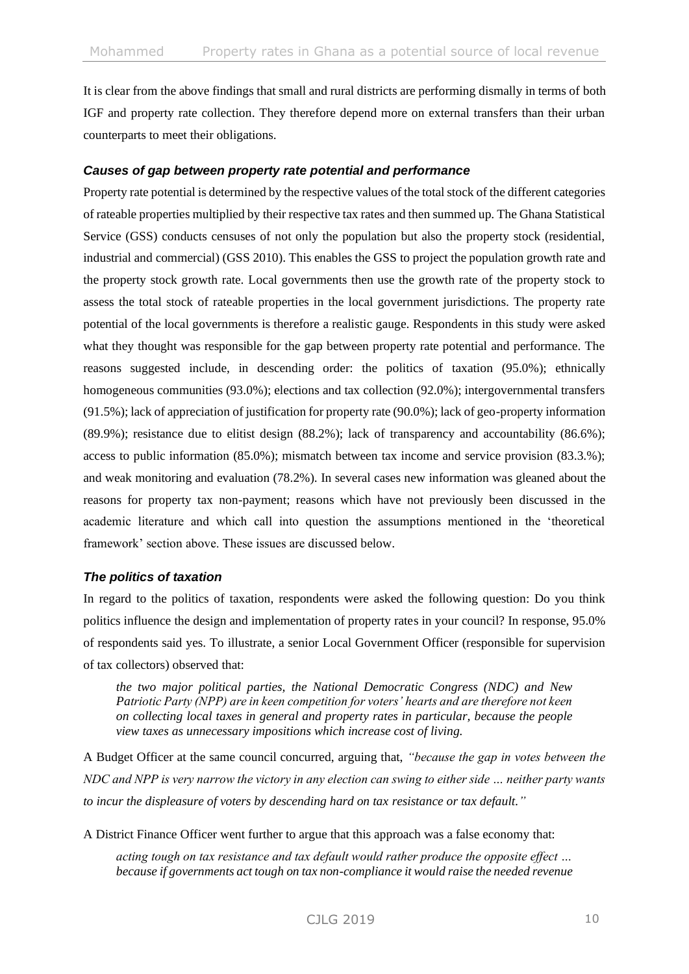It is clear from the above findings that small and rural districts are performing dismally in terms of both IGF and property rate collection. They therefore depend more on external transfers than their urban counterparts to meet their obligations.

### *Causes of gap between property rate potential and performance*

Property rate potential is determined by the respective values of the total stock of the different categories of rateable properties multiplied by their respective tax rates and then summed up. The Ghana Statistical Service (GSS) conducts censuses of not only the population but also the property stock (residential, industrial and commercial) (GSS 2010). This enables the GSS to project the population growth rate and the property stock growth rate. Local governments then use the growth rate of the property stock to assess the total stock of rateable properties in the local government jurisdictions. The property rate potential of the local governments is therefore a realistic gauge. Respondents in this study were asked what they thought was responsible for the gap between property rate potential and performance. The reasons suggested include, in descending order: the politics of taxation (95.0%); ethnically homogeneous communities (93.0%); elections and tax collection (92.0%); intergovernmental transfers (91.5%); lack of appreciation of justification for property rate (90.0%); lack of geo-property information (89.9%); resistance due to elitist design (88.2%); lack of transparency and accountability (86.6%); access to public information (85.0%); mismatch between tax income and service provision (83.3.%); and weak monitoring and evaluation (78.2%). In several cases new information was gleaned about the reasons for property tax non-payment; reasons which have not previously been discussed in the academic literature and which call into question the assumptions mentioned in the 'theoretical framework' section above. These issues are discussed below.

### *The politics of taxation*

In regard to the politics of taxation, respondents were asked the following question: Do you think politics influence the design and implementation of property rates in your council? In response, 95.0% of respondents said yes. To illustrate, a senior Local Government Officer (responsible for supervision of tax collectors) observed that:

*the two major political parties, the National Democratic Congress (NDC) and New Patriotic Party (NPP) are in keen competition for voters' hearts and are therefore not keen on collecting local taxes in general and property rates in particular, because the people view taxes as unnecessary impositions which increase cost of living.*

A Budget Officer at the same council concurred, arguing that, *"because the gap in votes between the NDC and NPP is very narrow the victory in any election can swing to either side … neither party wants to incur the displeasure of voters by descending hard on tax resistance or tax default."*

A District Finance Officer went further to argue that this approach was a false economy that:

*acting tough on tax resistance and tax default would rather produce the opposite effect … because if governments act tough on tax non-compliance it would raise the needed revenue*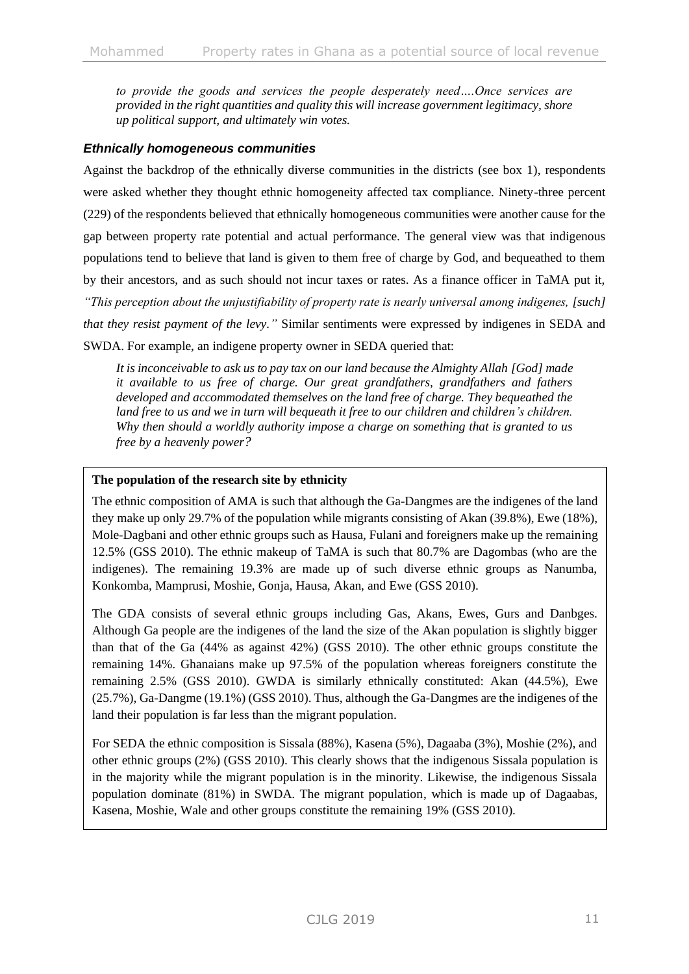*to provide the goods and services the people desperately need….Once services are provided in the right quantities and quality this will increase government legitimacy, shore up political support, and ultimately win votes.*

## *Ethnically homogeneous communities*

Against the backdrop of the ethnically diverse communities in the districts (see box 1), respondents were asked whether they thought ethnic homogeneity affected tax compliance. Ninety-three percent (229) of the respondents believed that ethnically homogeneous communities were another cause for the gap between property rate potential and actual performance. The general view was that indigenous populations tend to believe that land is given to them free of charge by God, and bequeathed to them by their ancestors, and as such should not incur taxes or rates. As a finance officer in TaMA put it, *"This perception about the unjustifiability of property rate is nearly universal among indigenes, [such] that they resist payment of the levy."* Similar sentiments were expressed by indigenes in SEDA and SWDA. For example, an indigene property owner in SEDA queried that:

*It is inconceivable to ask us to pay tax on our land because the Almighty Allah [God] made it available to us free of charge. Our great grandfathers, grandfathers and fathers developed and accommodated themselves on the land free of charge. They bequeathed the land free to us and we in turn will bequeath it free to our children and children's children. Why then should a worldly authority impose a charge on something that is granted to us free by a heavenly power?*

#### **The population of the research site by ethnicity**

The ethnic composition of AMA is such that although the Ga-Dangmes are the indigenes of the land they make up only 29.7% of the population while migrants consisting of Akan (39.8%), Ewe (18%), Mole-Dagbani and other ethnic groups such as Hausa, Fulani and foreigners make up the remaining 12.5% (GSS 2010). The ethnic makeup of TaMA is such that 80.7% are Dagombas (who are the indigenes). The remaining 19.3% are made up of such diverse ethnic groups as Nanumba, Konkomba, Mamprusi, Moshie, Gonja, Hausa, Akan, and Ewe (GSS 2010).

The GDA consists of several ethnic groups including Gas, Akans, Ewes, Gurs and Danbges. Although Ga people are the indigenes of the land the size of the Akan population is slightly bigger than that of the Ga (44% as against 42%) (GSS 2010). The other ethnic groups constitute the remaining 14%. Ghanaians make up 97.5% of the population whereas foreigners constitute the remaining 2.5% (GSS 2010). GWDA is similarly ethnically constituted: Akan (44.5%), Ewe (25.7%), Ga-Dangme (19.1%) (GSS 2010). Thus, although the Ga-Dangmes are the indigenes of the land their population is far less than the migrant population.

For SEDA the ethnic composition is Sissala (88%), Kasena (5%), Dagaaba (3%), Moshie (2%), and other ethnic groups (2%) (GSS 2010). This clearly shows that the indigenous Sissala population is in the majority while the migrant population is in the minority. Likewise, the indigenous Sissala population dominate (81%) in SWDA. The migrant population, which is made up of Dagaabas, Kasena, Moshie, Wale and other groups constitute the remaining 19% (GSS 2010).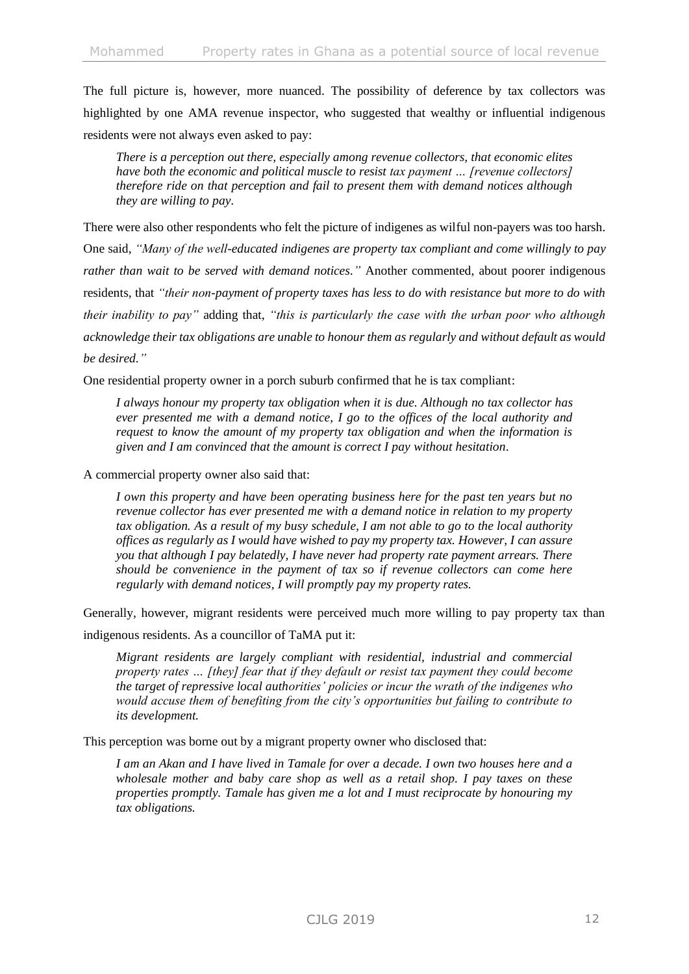The full picture is, however, more nuanced. The possibility of deference by tax collectors was highlighted by one AMA revenue inspector, who suggested that wealthy or influential indigenous residents were not always even asked to pay:

*There is a perception out there, especially among revenue collectors, that economic elites have both the economic and political muscle to resist tax payment … [revenue collectors] therefore ride on that perception and fail to present them with demand notices although they are willing to pay.*

There were also other respondents who felt the picture of indigenes as wilful non-payers was too harsh. One said, *"Many of the well-educated indigenes are property tax compliant and come willingly to pay rather than wait to be served with demand notices."* Another commented, about poorer indigenous residents, that *"their non-payment of property taxes has less to do with resistance but more to do with their inability to pay"* adding that, *"this is particularly the case with the urban poor who although acknowledge their tax obligations are unable to honour them as regularly and without default as would be desired."*

One residential property owner in a porch suburb confirmed that he is tax compliant:

*I always honour my property tax obligation when it is due. Although no tax collector has ever presented me with a demand notice, I go to the offices of the local authority and request to know the amount of my property tax obligation and when the information is given and I am convinced that the amount is correct I pay without hesitation*.

A commercial property owner also said that:

*I own this property and have been operating business here for the past ten years but no revenue collector has ever presented me with a demand notice in relation to my property tax obligation. As a result of my busy schedule, I am not able to go to the local authority offices as regularly as I would have wished to pay my property tax. However, I can assure you that although I pay belatedly, I have never had property rate payment arrears. There should be convenience in the payment of tax so if revenue collectors can come here regularly with demand notices, I will promptly pay my property rates.*

Generally, however, migrant residents were perceived much more willing to pay property tax than

indigenous residents. As a councillor of TaMA put it:

*Migrant residents are largely compliant with residential, industrial and commercial property rates … [they] fear that if they default or resist tax payment they could become the target of repressive local authorities' policies or incur the wrath of the indigenes who would accuse them of benefiting from the city's opportunities but failing to contribute to its development.*

This perception was borne out by a migrant property owner who disclosed that:

*I am an Akan and I have lived in Tamale for over a decade. I own two houses here and a wholesale mother and baby care shop as well as a retail shop. I pay taxes on these properties promptly. Tamale has given me a lot and I must reciprocate by honouring my tax obligations.*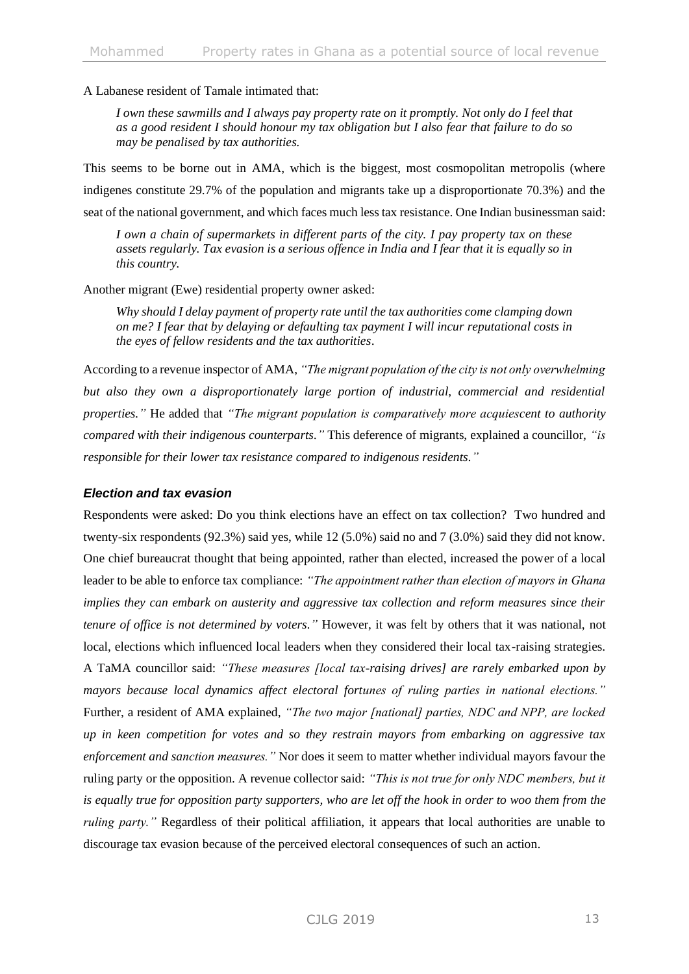A Labanese resident of Tamale intimated that:

*I own these sawmills and I always pay property rate on it promptly. Not only do I feel that as a good resident I should honour my tax obligation but I also fear that failure to do so may be penalised by tax authorities.*

This seems to be borne out in AMA, which is the biggest, most cosmopolitan metropolis (where indigenes constitute 29.7% of the population and migrants take up a disproportionate 70.3%) and the seat of the national government, and which faces much less tax resistance. One Indian businessman said:

*I own a chain of supermarkets in different parts of the city. I pay property tax on these assets regularly. Tax evasion is a serious offence in India and I fear that it is equally so in this country.*

Another migrant (Ewe) residential property owner asked:

*Why should I delay payment of property rate until the tax authorities come clamping down on me? I fear that by delaying or defaulting tax payment I will incur reputational costs in the eyes of fellow residents and the tax authorities*.

According to a revenue inspector of AMA, *"The migrant population of the city is not only overwhelming but also they own a disproportionately large portion of industrial, commercial and residential properties."* He added that *"The migrant population is comparatively more acquiescent to authority compared with their indigenous counterparts."* This deference of migrants, explained a councillor, *"is responsible for their lower tax resistance compared to indigenous residents."*

#### *Election and tax evasion*

Respondents were asked: Do you think elections have an effect on tax collection? Two hundred and twenty-six respondents (92.3%) said yes, while 12 (5.0%) said no and 7 (3.0%) said they did not know. One chief bureaucrat thought that being appointed, rather than elected, increased the power of a local leader to be able to enforce tax compliance: *"The appointment rather than election of mayors in Ghana implies they can embark on austerity and aggressive tax collection and reform measures since their tenure of office is not determined by voters."* However, it was felt by others that it was national, not local, elections which influenced local leaders when they considered their local tax-raising strategies. A TaMA councillor said: *"These measures [local tax-raising drives] are rarely embarked upon by mayors because local dynamics affect electoral fortunes of ruling parties in national elections."*  Further, a resident of AMA explained, *"The two major [national] parties, NDC and NPP, are locked up in keen competition for votes and so they restrain mayors from embarking on aggressive tax enforcement and sanction measures."* Nor does it seem to matter whether individual mayors favour the ruling party or the opposition. A revenue collector said: *"This is not true for only NDC members, but it is equally true for opposition party supporters, who are let off the hook in order to woo them from the ruling party.*" Regardless of their political affiliation, it appears that local authorities are unable to discourage tax evasion because of the perceived electoral consequences of such an action.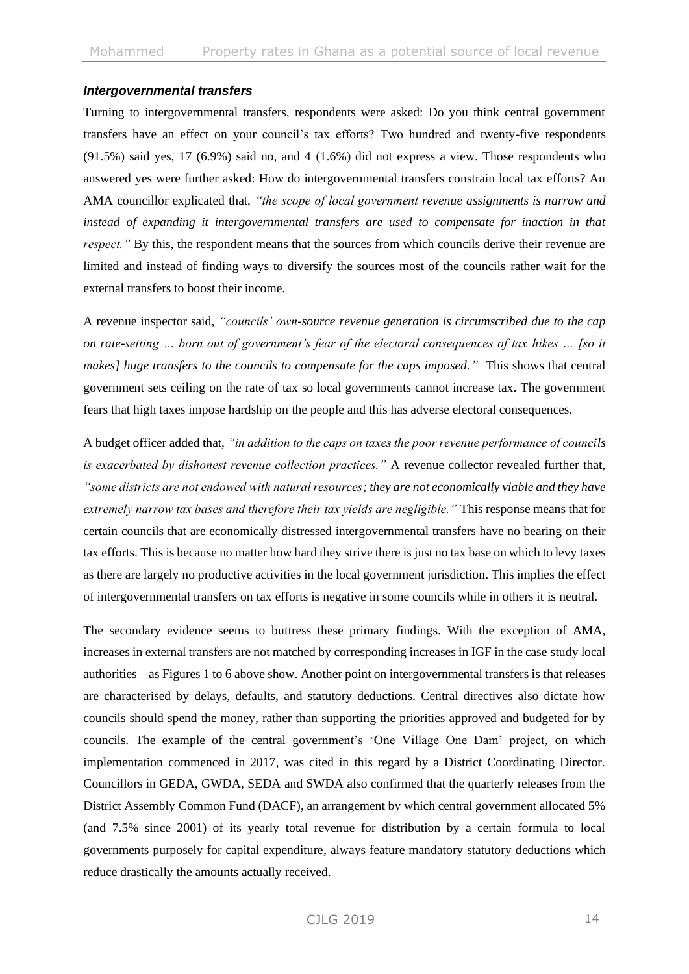#### *Intergovernmental transfers*

Turning to intergovernmental transfers, respondents were asked: Do you think central government transfers have an effect on your council's tax efforts? Two hundred and twenty-five respondents (91.5%) said yes, 17 (6.9%) said no, and 4 (1.6%) did not express a view. Those respondents who answered yes were further asked: How do intergovernmental transfers constrain local tax efforts? An AMA councillor explicated that, *"the scope of local government revenue assignments is narrow and instead of expanding it intergovernmental transfers are used to compensate for inaction in that respect.*" By this, the respondent means that the sources from which councils derive their revenue are limited and instead of finding ways to diversify the sources most of the councils rather wait for the external transfers to boost their income.

A revenue inspector said, *"councils' own-source revenue generation is circumscribed due to the cap on rate-setting … born out of government's fear of the electoral consequences of tax hikes … [so it makes] huge transfers to the councils to compensate for the caps imposed."* This shows that central government sets ceiling on the rate of tax so local governments cannot increase tax. The government fears that high taxes impose hardship on the people and this has adverse electoral consequences.

A budget officer added that, *"in addition to the caps on taxes the poor revenue performance of councils is exacerbated by dishonest revenue collection practices."* A revenue collector revealed further that, *"some districts are not endowed with natural resources; they are not economically viable and they have extremely narrow tax bases and therefore their tax yields are negligible."* This response means that for certain councils that are economically distressed intergovernmental transfers have no bearing on their tax efforts. This is because no matter how hard they strive there is just no tax base on which to levy taxes as there are largely no productive activities in the local government jurisdiction. This implies the effect of intergovernmental transfers on tax efforts is negative in some councils while in others it is neutral.

The secondary evidence seems to buttress these primary findings. With the exception of AMA, increases in external transfers are not matched by corresponding increases in IGF in the case study local authorities – as Figures 1 to 6 above show. Another point on intergovernmental transfers is that releases are characterised by delays, defaults, and statutory deductions. Central directives also dictate how councils should spend the money, rather than supporting the priorities approved and budgeted for by councils. The example of the central government's 'One Village One Dam' project, on which implementation commenced in 2017, was cited in this regard by a District Coordinating Director. Councillors in GEDA, GWDA, SEDA and SWDA also confirmed that the quarterly releases from the District Assembly Common Fund (DACF), an arrangement by which central government allocated 5% (and 7.5% since 2001) of its yearly total revenue for distribution by a certain formula to local governments purposely for capital expenditure, always feature mandatory statutory deductions which reduce drastically the amounts actually received.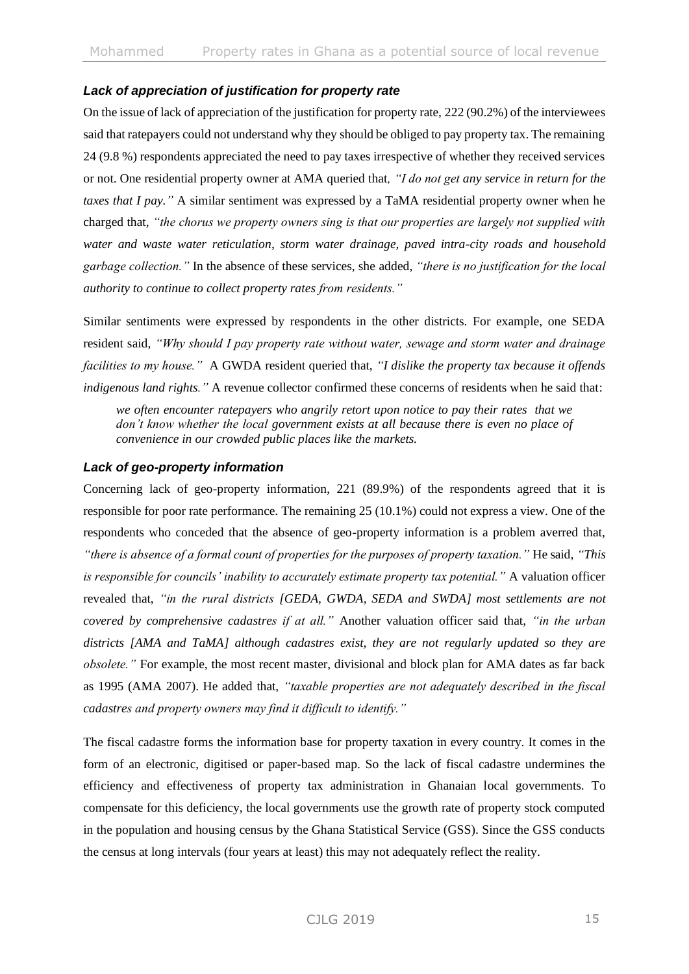## *Lack of appreciation of justification for property rate*

On the issue of lack of appreciation of the justification for property rate, 222 (90.2%) of the interviewees said that ratepayers could not understand why they should be obliged to pay property tax. The remaining 24 (9.8 %) respondents appreciated the need to pay taxes irrespective of whether they received services or not. One residential property owner at AMA queried that*, "I do not get any service in return for the taxes that I pay."* A similar sentiment was expressed by a TaMA residential property owner when he charged that, *"the chorus we property owners sing is that our properties are largely not supplied with water and waste water reticulation, storm water drainage, paved intra-city roads and household garbage collection."* In the absence of these services, she added, *"there is no justification for the local authority to continue to collect property rates from residents."*

Similar sentiments were expressed by respondents in the other districts. For example, one SEDA resident said, *"Why should I pay property rate without water, sewage and storm water and drainage facilities to my house."* A GWDA resident queried that, *"I dislike the property tax because it offends indigenous land rights."* A revenue collector confirmed these concerns of residents when he said that:

*we often encounter ratepayers who angrily retort upon notice to pay their rates that we don't know whether the local government exists at all because there is even no place of convenience in our crowded public places like the markets.*

### *Lack of geo-property information*

Concerning lack of geo-property information, 221 (89.9%) of the respondents agreed that it is responsible for poor rate performance. The remaining 25 (10.1%) could not express a view. One of the respondents who conceded that the absence of geo-property information is a problem averred that, *"there is absence of a formal count of properties for the purposes of property taxation."* He said, *"This is responsible for councils' inability to accurately estimate property tax potential."* A valuation officer revealed that, *"in the rural districts [GEDA, GWDA, SEDA and SWDA] most settlements are not covered by comprehensive cadastres if at all."* Another valuation officer said that, *"in the urban districts [AMA and TaMA] although cadastres exist, they are not regularly updated so they are obsolete."* For example, the most recent master, divisional and block plan for AMA dates as far back as 1995 (AMA 2007). He added that, *"taxable properties are not adequately described in the fiscal cadastres and property owners may find it difficult to identify."*

The fiscal cadastre forms the information base for property taxation in every country. It comes in the form of an electronic, digitised or paper-based map. So the lack of fiscal cadastre undermines the efficiency and effectiveness of property tax administration in Ghanaian local governments. To compensate for this deficiency, the local governments use the growth rate of property stock computed in the population and housing census by the Ghana Statistical Service (GSS). Since the GSS conducts the census at long intervals (four years at least) this may not adequately reflect the reality.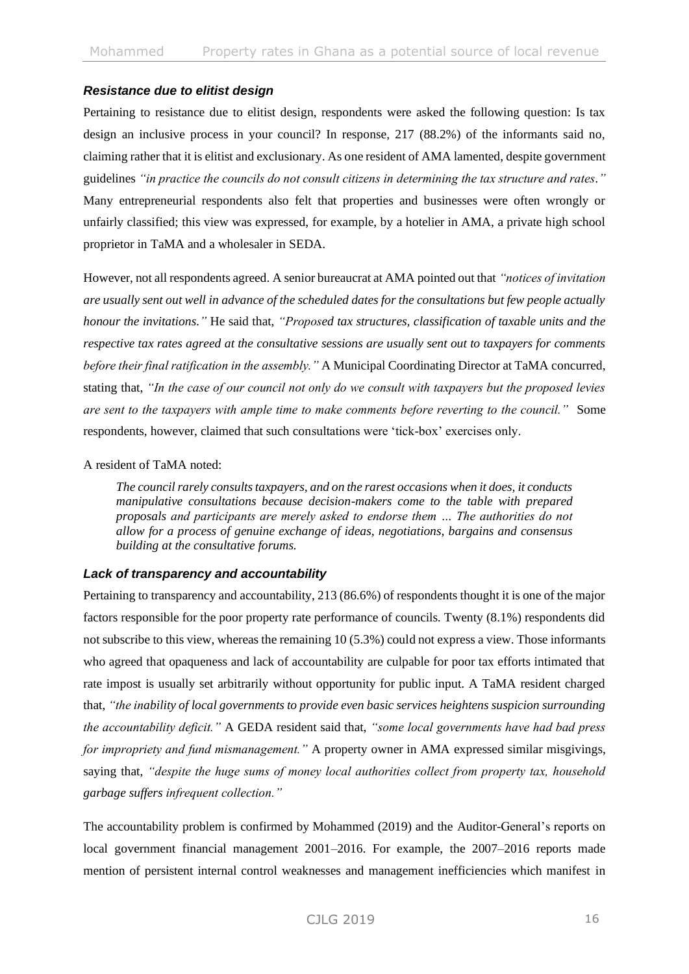## *Resistance due to elitist design*

Pertaining to resistance due to elitist design, respondents were asked the following question: Is tax design an inclusive process in your council? In response, 217 (88.2%) of the informants said no, claiming rather that it is elitist and exclusionary. As one resident of AMA lamented, despite government guidelines *"in practice the councils do not consult citizens in determining the tax structure and rates."* Many entrepreneurial respondents also felt that properties and businesses were often wrongly or unfairly classified; this view was expressed, for example, by a hotelier in AMA, a private high school proprietor in TaMA and a wholesaler in SEDA.

However, not all respondents agreed. A senior bureaucrat at AMA pointed out that *"notices of invitation are usually sent out well in advance of the scheduled dates for the consultations but few people actually honour the invitations."* He said that, *"Proposed tax structures, classification of taxable units and the respective tax rates agreed at the consultative sessions are usually sent out to taxpayers for comments before their final ratification in the assembly."* A Municipal Coordinating Director at TaMA concurred, stating that, *"In the case of our council not only do we consult with taxpayers but the proposed levies are sent to the taxpayers with ample time to make comments before reverting to the council."* Some respondents, however, claimed that such consultations were 'tick-box' exercises only.

#### A resident of TaMA noted:

*The council rarely consults taxpayers, and on the rarest occasions when it does, it conducts manipulative consultations because decision-makers come to the table with prepared proposals and participants are merely asked to endorse them … The authorities do not allow for a process of genuine exchange of ideas, negotiations, bargains and consensus building at the consultative forums.*

### *Lack of transparency and accountability*

Pertaining to transparency and accountability, 213 (86.6%) of respondents thought it is one of the major factors responsible for the poor property rate performance of councils. Twenty (8.1%) respondents did not subscribe to this view, whereas the remaining 10 (5.3%) could not express a view. Those informants who agreed that opaqueness and lack of accountability are culpable for poor tax efforts intimated that rate impost is usually set arbitrarily without opportunity for public input. A TaMA resident charged that, *"the inability of local governments to provide even basic services heightens suspicion surrounding the accountability deficit."* A GEDA resident said that, *"some local governments have had bad press for impropriety and fund mismanagement."* A property owner in AMA expressed similar misgivings, saying that, *"despite the huge sums of money local authorities collect from property tax, household garbage suffers infrequent collection."*

The accountability problem is confirmed by Mohammed (2019) and the Auditor-General's reports on local government financial management 2001–2016. For example, the 2007–2016 reports made mention of persistent internal control weaknesses and management inefficiencies which manifest in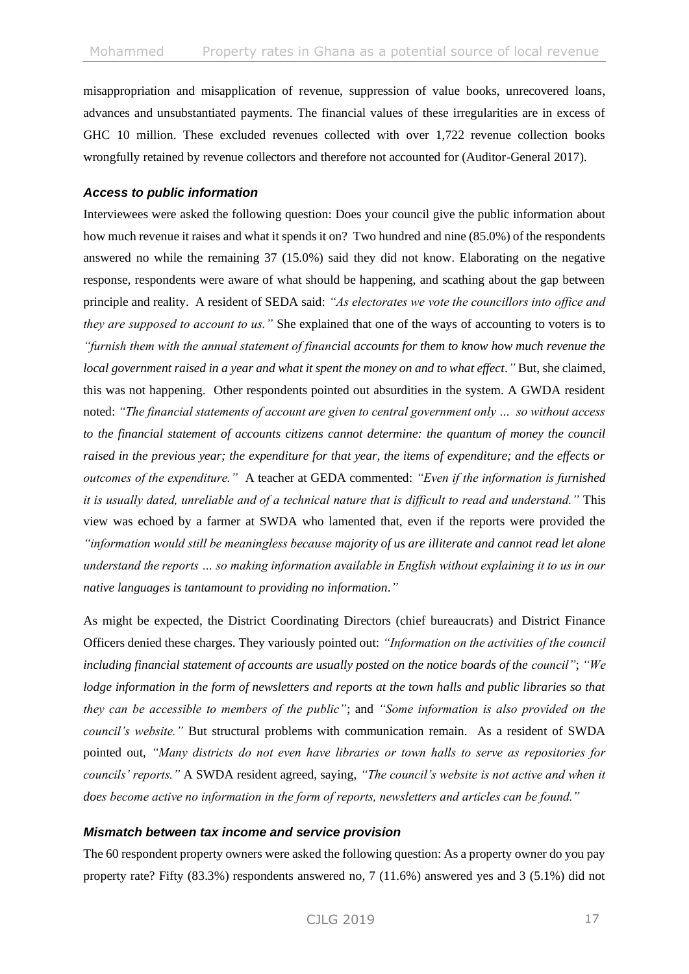misappropriation and misapplication of revenue, suppression of value books, unrecovered loans, advances and unsubstantiated payments. The financial values of these irregularities are in excess of GHC 10 million. These excluded revenues collected with over 1,722 revenue collection books wrongfully retained by revenue collectors and therefore not accounted for (Auditor-General 2017).

#### *Access to public information*

Interviewees were asked the following question: Does your council give the public information about how much revenue it raises and what it spends it on? Two hundred and nine (85.0%) of the respondents answered no while the remaining 37 (15.0%) said they did not know. Elaborating on the negative response, respondents were aware of what should be happening, and scathing about the gap between principle and reality. A resident of SEDA said: *"As electorates we vote the councillors into office and they are supposed to account to us."* She explained that one of the ways of accounting to voters is to *"furnish them with the annual statement of financial accounts for them to know how much revenue the local government raised in a year and what it spent the money on and to what effect."* But, she claimed, this was not happening. Other respondents pointed out absurdities in the system. A GWDA resident noted: *"The financial statements of account are given to central government only … so without access to the financial statement of accounts citizens cannot determine: the quantum of money the council raised in the previous year; the expenditure for that year, the items of expenditure; and the effects or outcomes of the expenditure."* A teacher at GEDA commented: *"Even if the information is furnished it is usually dated, unreliable and of a technical nature that is difficult to read and understand."* This view was echoed by a farmer at SWDA who lamented that, even if the reports were provided the *"information would still be meaningless because majority of us are illiterate and cannot read let alone understand the reports … so making information available in English without explaining it to us in our native languages is tantamount to providing no information."*

As might be expected, the District Coordinating Directors (chief bureaucrats) and District Finance Officers denied these charges. They variously pointed out: *"Information on the activities of the council including financial statement of accounts are usually posted on the notice boards of the council"*; *"We lodge information in the form of newsletters and reports at the town halls and public libraries so that they can be accessible to members of the public"*; and *"Some information is also provided on the council's website."* But structural problems with communication remain. As a resident of SWDA pointed out, *"Many districts do not even have libraries or town halls to serve as repositories for councils' reports."* A SWDA resident agreed, saying, *"The council's website is not active and when it does become active no information in the form of reports, newsletters and articles can be found."*

#### *Mismatch between tax income and service provision*

The 60 respondent property owners were asked the following question: As a property owner do you pay property rate? Fifty (83.3%) respondents answered no, 7 (11.6%) answered yes and 3 (5.1%) did not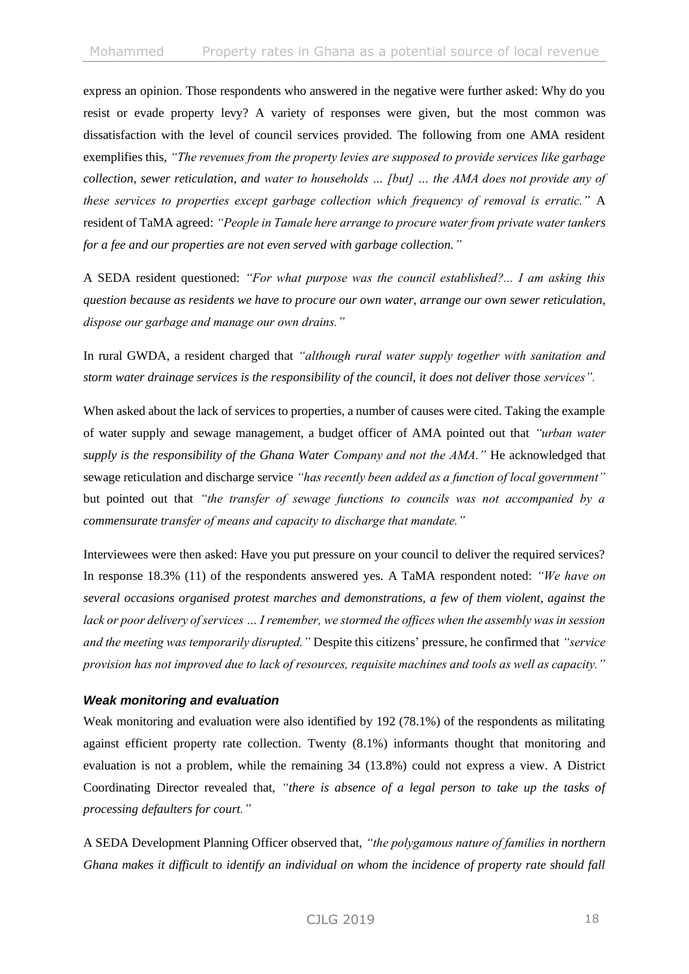express an opinion. Those respondents who answered in the negative were further asked: Why do you resist or evade property levy? A variety of responses were given, but the most common was dissatisfaction with the level of council services provided. The following from one AMA resident exemplifies this, *"The revenues from the property levies are supposed to provide services like garbage collection, sewer reticulation, and water to households … [but] … the AMA does not provide any of these services to properties except garbage collection which frequency of removal is erratic."* A resident of TaMA agreed: *"People in Tamale here arrange to procure water from private water tankers for a fee and our properties are not even served with garbage collection."*

A SEDA resident questioned: *"For what purpose was the council established?... I am asking this question because as residents we have to procure our own water, arrange our own sewer reticulation, dispose our garbage and manage our own drains."*

In rural GWDA, a resident charged that *"although rural water supply together with sanitation and storm water drainage services is the responsibility of the council, it does not deliver those services".* 

When asked about the lack of services to properties, a number of causes were cited. Taking the example of water supply and sewage management, a budget officer of AMA pointed out that *"urban water supply is the responsibility of the Ghana Water Company and not the AMA."* He acknowledged that sewage reticulation and discharge service *"has recently been added as a function of local government"*  but pointed out that *"the transfer of sewage functions to councils was not accompanied by a commensurate transfer of means and capacity to discharge that mandate."*

Interviewees were then asked: Have you put pressure on your council to deliver the required services? In response 18.3% (11) of the respondents answered yes. A TaMA respondent noted: *"We have on several occasions organised protest marches and demonstrations, a few of them violent, against the lack or poor delivery of services … I remember, we stormed the offices when the assembly was in session and the meeting was temporarily disrupted."* Despite this citizens' pressure, he confirmed that *"service provision has not improved due to lack of resources, requisite machines and tools as well as capacity."*

### *Weak monitoring and evaluation*

Weak monitoring and evaluation were also identified by 192 (78.1%) of the respondents as militating against efficient property rate collection. Twenty (8.1%) informants thought that monitoring and evaluation is not a problem, while the remaining 34 (13.8%) could not express a view. A District Coordinating Director revealed that, *"there is absence of a legal person to take up the tasks of processing defaulters for court."*

A SEDA Development Planning Officer observed that, *"the polygamous nature of families in northern Ghana makes it difficult to identify an individual on whom the incidence of property rate should fall*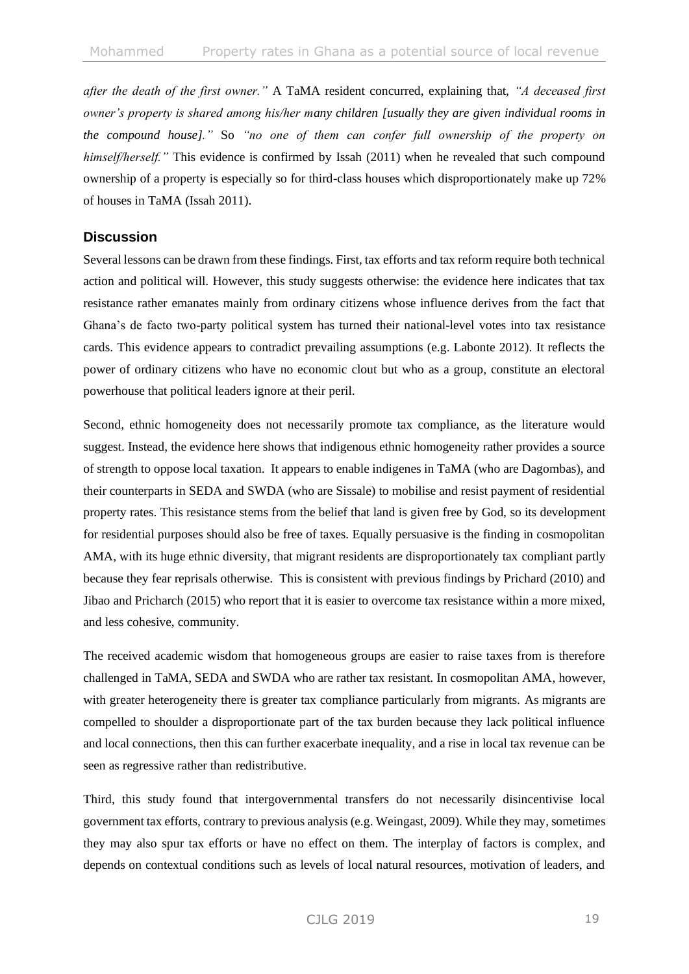*after the death of the first owner."* A TaMA resident concurred, explaining that, *"A deceased first owner's property is shared among his/her many children [usually they are given individual rooms in the compound house]."* So *"no one of them can confer full ownership of the property on himself/herself."* This evidence is confirmed by Issah (2011) when he revealed that such compound ownership of a property is especially so for third-class houses which disproportionately make up 72% of houses in TaMA (Issah 2011).

# **Discussion**

Several lessons can be drawn from these findings. First, tax efforts and tax reform require both technical action and political will. However, this study suggests otherwise: the evidence here indicates that tax resistance rather emanates mainly from ordinary citizens whose influence derives from the fact that Ghana's de facto two-party political system has turned their national-level votes into tax resistance cards. This evidence appears to contradict prevailing assumptions (e.g. Labonte 2012). It reflects the power of ordinary citizens who have no economic clout but who as a group, constitute an electoral powerhouse that political leaders ignore at their peril.

Second, ethnic homogeneity does not necessarily promote tax compliance, as the literature would suggest. Instead, the evidence here shows that indigenous ethnic homogeneity rather provides a source of strength to oppose local taxation. It appears to enable indigenes in TaMA (who are Dagombas), and their counterparts in SEDA and SWDA (who are Sissale) to mobilise and resist payment of residential property rates. This resistance stems from the belief that land is given free by God, so its development for residential purposes should also be free of taxes. Equally persuasive is the finding in cosmopolitan AMA, with its huge ethnic diversity, that migrant residents are disproportionately tax compliant partly because they fear reprisals otherwise. This is consistent with previous findings by Prichard (2010) and Jibao and Pricharch (2015) who report that it is easier to overcome tax resistance within a more mixed, and less cohesive, community.

The received academic wisdom that homogeneous groups are easier to raise taxes from is therefore challenged in TaMA, SEDA and SWDA who are rather tax resistant. In cosmopolitan AMA, however, with greater heterogeneity there is greater tax compliance particularly from migrants. As migrants are compelled to shoulder a disproportionate part of the tax burden because they lack political influence and local connections, then this can further exacerbate inequality, and a rise in local tax revenue can be seen as regressive rather than redistributive.

Third, this study found that intergovernmental transfers do not necessarily disincentivise local government tax efforts, contrary to previous analysis (e.g. Weingast, 2009). While they may, sometimes they may also spur tax efforts or have no effect on them. The interplay of factors is complex, and depends on contextual conditions such as levels of local natural resources, motivation of leaders, and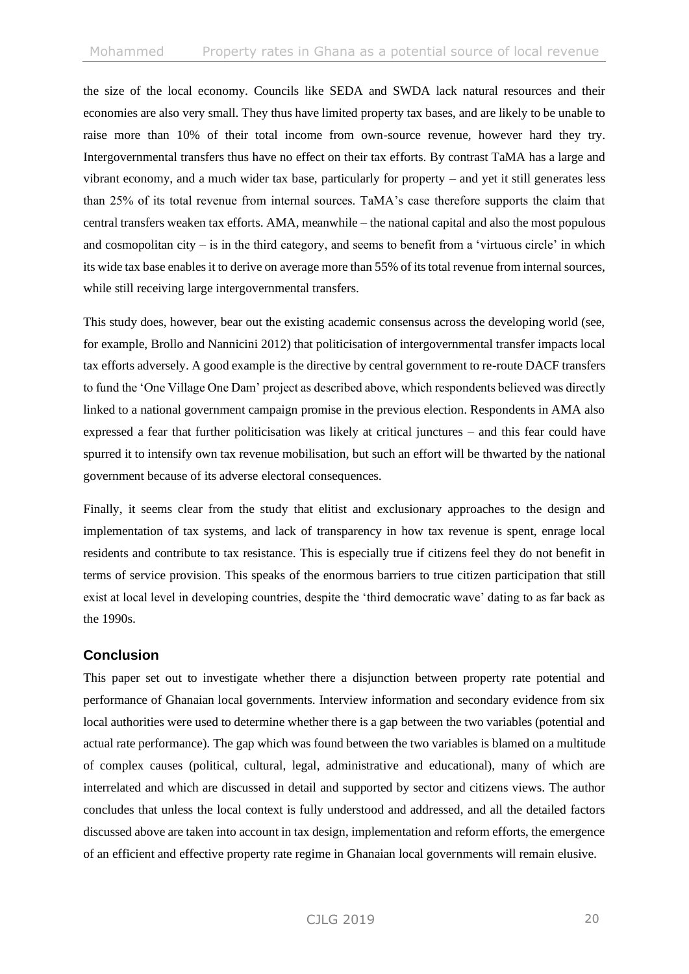the size of the local economy. Councils like SEDA and SWDA lack natural resources and their economies are also very small. They thus have limited property tax bases, and are likely to be unable to raise more than 10% of their total income from own-source revenue, however hard they try. Intergovernmental transfers thus have no effect on their tax efforts. By contrast TaMA has a large and vibrant economy, and a much wider tax base, particularly for property – and yet it still generates less than 25% of its total revenue from internal sources. TaMA's case therefore supports the claim that central transfers weaken tax efforts. AMA, meanwhile – the national capital and also the most populous and cosmopolitan city  $-$  is in the third category, and seems to benefit from a 'virtuous circle' in which its wide tax base enables it to derive on average more than 55% of its total revenue from internal sources, while still receiving large intergovernmental transfers.

This study does, however, bear out the existing academic consensus across the developing world (see, for example, Brollo and Nannicini 2012) that politicisation of intergovernmental transfer impacts local tax efforts adversely. A good example is the directive by central government to re-route DACF transfers to fund the 'One Village One Dam' project as described above, which respondents believed was directly linked to a national government campaign promise in the previous election. Respondents in AMA also expressed a fear that further politicisation was likely at critical junctures – and this fear could have spurred it to intensify own tax revenue mobilisation, but such an effort will be thwarted by the national government because of its adverse electoral consequences.

Finally, it seems clear from the study that elitist and exclusionary approaches to the design and implementation of tax systems, and lack of transparency in how tax revenue is spent, enrage local residents and contribute to tax resistance. This is especially true if citizens feel they do not benefit in terms of service provision. This speaks of the enormous barriers to true citizen participation that still exist at local level in developing countries, despite the 'third democratic wave' dating to as far back as the 1990s.

# **Conclusion**

This paper set out to investigate whether there a disjunction between property rate potential and performance of Ghanaian local governments. Interview information and secondary evidence from six local authorities were used to determine whether there is a gap between the two variables (potential and actual rate performance). The gap which was found between the two variables is blamed on a multitude of complex causes (political, cultural, legal, administrative and educational), many of which are interrelated and which are discussed in detail and supported by sector and citizens views. The author concludes that unless the local context is fully understood and addressed, and all the detailed factors discussed above are taken into account in tax design, implementation and reform efforts, the emergence of an efficient and effective property rate regime in Ghanaian local governments will remain elusive.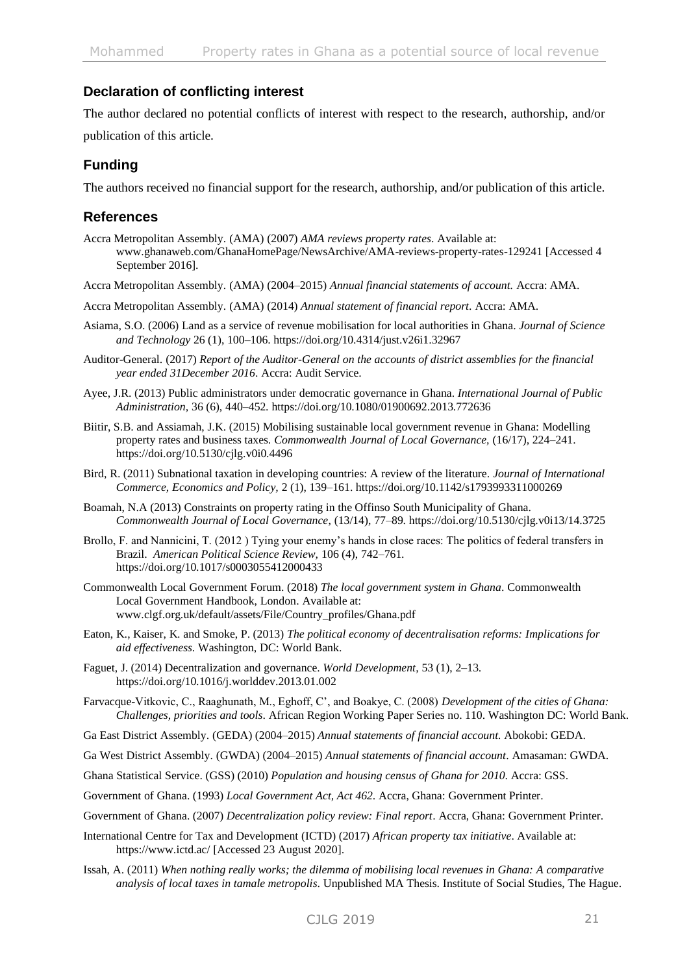# **Declaration of conflicting interest**

The author declared no potential conflicts of interest with respect to the research, authorship, and/or publication of this article.

# **Funding**

The authors received no financial support for the research, authorship, and/or publication of this article.

# **References**

- Accra Metropolitan Assembly. (AMA) (2007) *AMA reviews property rates*. Available at: www.ghanaweb.com/GhanaHomePage/NewsArchive/AMA-reviews-property-rates-129241 [Accessed 4 September 2016].
- Accra Metropolitan Assembly. (AMA) (2004–2015) *Annual financial statements of account.* Accra: AMA.
- Accra Metropolitan Assembly. (AMA) (2014) *Annual statement of financial report*. Accra: AMA.
- Asiama, S.O. (2006) Land as a service of revenue mobilisation for local authorities in Ghana. *Journal of Science and Technology* 26 (1), 100–106.<https://doi.org/10.4314/just.v26i1.32967>
- Auditor-General. (2017) *Report of the Auditor-General on the accounts of district assemblies for the financial year ended 31December 2016*. Accra: Audit Service.
- Ayee, J.R. (2013) Public administrators under democratic governance in Ghana. *International Journal of Public Administration,* 36 (6), 440–452[. https://doi.org/10.1080/01900692.2013.772636](https://doi.org/10.1080/01900692.2013.772636)
- Biitir, S.B. and Assiamah, J.K. (2015) Mobilising sustainable local government revenue in Ghana: Modelling property rates and business taxes. *Commonwealth Journal of Local Governance,* (16/17), 224–241. <https://doi.org/10.5130/cjlg.v0i0.4496>
- Bird, R. (2011) Subnational taxation in developing countries: A review of the literature. *Journal of International Commerce, Economics and Policy,* 2 (1), 139–161. <https://doi.org/10.1142/s1793993311000269>
- Boamah, N.A (2013) Constraints on property rating in the Offinso South Municipality of Ghana. *Commonwealth Journal of Local Governance*, (13/14), 77–89.<https://doi.org/10.5130/cjlg.v0i13/14.3725>
- Brollo, F. and Nannicini, T. (2012 ) Tying your enemy's hands in close races: The politics of federal transfers in Brazil. *American Political Science Review,* 106 (4), 742–761. <https://doi.org/10.1017/s0003055412000433>
- Commonwealth Local Government Forum. (2018) *The local government system in Ghana*. Commonwealth Local Government Handbook, London. Available at: [www.clgf.org.uk/default/assets/File/Country\\_profiles/Ghana.pdf](http://www.clgf.org.uk/default/assets/File/Country_profiles/Ghana.pdf)
- Eaton, K., Kaiser, K. and Smoke, P. (2013) *The political economy of decentralisation reforms: Implications for aid effectiveness*. Washington, DC: World Bank.
- Faguet, J. (2014) Decentralization and governance. *World Development,* 53 (1), 2–13. <https://doi.org/10.1016/j.worlddev.2013.01.002>
- Farvacque-Vitkovic, C., Raaghunath, M., Eghoff, C', and Boakye, C. (2008) *Development of the cities of Ghana: Challenges, priorities and tools*. African Region Working Paper Series no. 110. Washington DC: World Bank.
- Ga East District Assembly. (GEDA) (2004–2015) *Annual statements of financial account.* Abokobi: GEDA.
- Ga West District Assembly. (GWDA) (2004–2015) *Annual statements of financial account*. Amasaman: GWDA.
- Ghana Statistical Service. (GSS) (2010) *Population and housing census of Ghana for 2010*. Accra: GSS.
- Government of Ghana. (1993) *Local Government Act, Act 462*. Accra, Ghana: Government Printer.
- Government of Ghana. (2007) *Decentralization policy review: Final report*. Accra, Ghana: Government Printer.
- International Centre for Tax and Development (ICTD) (2017) *African property tax initiative*. Available at: <https://www.ictd.ac/> [Accessed 23 August 2020].
- Issah, A. (2011) *When nothing really works; the dilemma of mobilising local revenues in Ghana: A comparative analysis of local taxes in tamale metropolis*. Unpublished MA Thesis. Institute of Social Studies, The Hague.